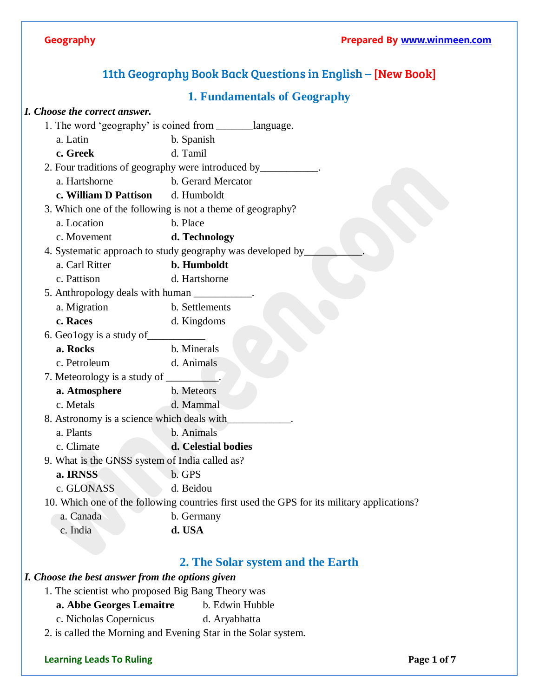# 11th Geography Book Back Questions in English – [New Book]

## **1. Fundamentals of Geography**

### *I. Choose the correct answer.*

|                                                |                                            | 1. The word 'geography' is coined from __________language.                                 |
|------------------------------------------------|--------------------------------------------|--------------------------------------------------------------------------------------------|
|                                                | a. Latin                                   | b. Spanish                                                                                 |
|                                                | c. Greek                                   | d. Tamil                                                                                   |
|                                                |                                            | 2. Four traditions of geography were introduced by____________                             |
|                                                | a. Hartshorne                              | b. Gerard Mercator                                                                         |
|                                                | c. William D Pattison                      | d. Humboldt                                                                                |
|                                                |                                            | 3. Which one of the following is not a theme of geography?                                 |
|                                                | a. Location                                | b. Place                                                                                   |
|                                                | c. Movement                                | d. Technology                                                                              |
|                                                |                                            | 4. Systematic approach to study geography was developed by_                                |
|                                                | a. Carl Ritter                             | b. Humboldt                                                                                |
|                                                | c. Pattison                                | d. Hartshorne                                                                              |
|                                                | 5. Anthropology deals with human           |                                                                                            |
|                                                | a. Migration                               | b. Settlements                                                                             |
|                                                | c. Races                                   | d. Kingdoms                                                                                |
|                                                | 6. Geology is a study of                   |                                                                                            |
|                                                | a. Rocks                                   | b. Minerals                                                                                |
|                                                | c. Petroleum                               | d. Animals                                                                                 |
|                                                |                                            |                                                                                            |
|                                                | a. Atmosphere                              | b. Meteors                                                                                 |
|                                                | c. Metals                                  | d. Mammal                                                                                  |
|                                                | 8. Astronomy is a science which deals with |                                                                                            |
|                                                | a. Plants                                  | b. Animals                                                                                 |
|                                                | c. Climate                                 | d. Celestial bodies                                                                        |
| 9. What is the GNSS system of India called as? |                                            |                                                                                            |
|                                                | a. IRNSS                                   | b. GPS                                                                                     |
|                                                | c. GLONASS                                 | d. Beidou                                                                                  |
|                                                |                                            | 10. Which one of the following countries first used the GPS for its military applications? |
|                                                | a. Canada                                  | b. Germany                                                                                 |
|                                                | c. India                                   | d. USA                                                                                     |
|                                                |                                            |                                                                                            |

## **2. The Solar system and the Earth**

## *I. Choose the best answer from the options given*

- 1. The scientist who proposed Big Bang Theory was
	- **a. Abbe Georges Lemaitre** b. Edwin Hubble
	- c. Nicholas Copernicus d. Aryabhatta
- 2. is called the Morning and Evening Star in the Solar system.

### **Learning Leads To Ruling Page 1** of 7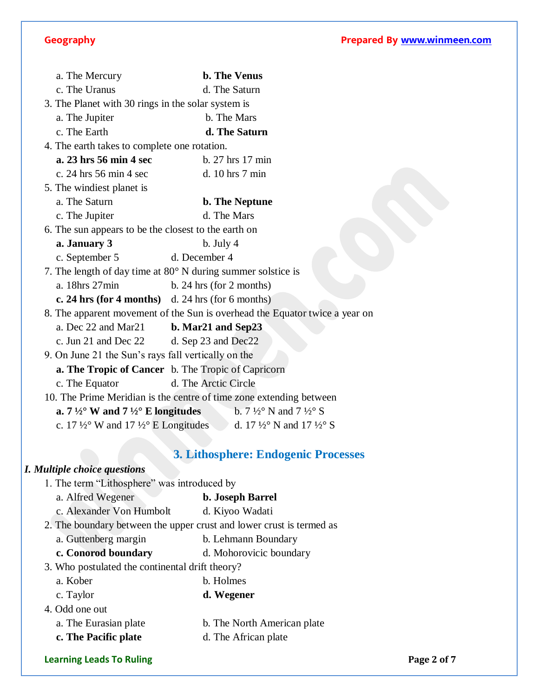## **Geography Prepared By [www.winmeen.com](http://www.winmeen.com/)**

| a. The Mercury                                          | <b>b.</b> The Venus                                                                                          |
|---------------------------------------------------------|--------------------------------------------------------------------------------------------------------------|
| c. The Uranus                                           | d. The Saturn                                                                                                |
| 3. The Planet with 30 rings in the solar system is      |                                                                                                              |
| a. The Jupiter                                          | b. The Mars                                                                                                  |
| c. The Earth                                            | d. The Saturn                                                                                                |
| 4. The earth takes to complete one rotation.            |                                                                                                              |
| a. 23 hrs 56 min 4 sec                                  | b. 27 hrs 17 min                                                                                             |
| c. 24 hrs 56 min 4 sec                                  | d. 10 hrs 7 min                                                                                              |
| 5. The windiest planet is                               |                                                                                                              |
| a. The Saturn                                           | <b>b.</b> The Neptune                                                                                        |
| c. The Jupiter                                          | d. The Mars                                                                                                  |
| 6. The sun appears to be the closest to the earth on    |                                                                                                              |
| a. January 3                                            | $b.$ July 4                                                                                                  |
| c. September 5                                          | d. December 4                                                                                                |
|                                                         | 7. The length of day time at $80^\circ$ N during summer solstice is                                          |
| a. 18hrs 27min                                          | b. 24 hrs (for 2 months)                                                                                     |
| c. 24 hrs (for 4 months) d. 24 hrs (for 6 months)       |                                                                                                              |
|                                                         | 8. The apparent movement of the Sun is overhead the Equator twice a year on                                  |
| a. Dec 22 and Mar21                                     | b. Mar <sub>21</sub> and Sep <sub>23</sub>                                                                   |
| c. Jun 21 and Dec 22                                    | d. Sep 23 and Dec22                                                                                          |
| 9. On June 21 the Sun's rays fall vertically on the     |                                                                                                              |
|                                                         | a. The Tropic of Cancer b. The Tropic of Capricorn                                                           |
| c. The Equator                                          | d. The Arctic Circle                                                                                         |
|                                                         | 10. The Prime Meridian is the centre of time zone extending between                                          |
| a. $7\frac{1}{2}$ ° W and $7\frac{1}{2}$ ° E longitudes | b. $7\frac{1}{2}^{\circ}$ N and $7\frac{1}{2}^{\circ}$ S                                                     |
|                                                         | c. 17 $\frac{1}{2}$ ° W and 17 $\frac{1}{2}$ ° E Longitudes d. 17 $\frac{1}{2}$ ° N and 17 $\frac{1}{2}$ ° S |
|                                                         |                                                                                                              |
|                                                         | <b>3. Lithosphere: Endogenic Processes</b>                                                                   |
| <b>I. Multiple choice questions</b>                     |                                                                                                              |
| 1. The term "Lithosphere" was introduced by             |                                                                                                              |
| a. Alfred Wegener                                       | b. Joseph Barrel                                                                                             |
| c. Alexander Von Humbolt                                | d. Kiyoo Wadati                                                                                              |
|                                                         | 2. The boundary between the upper crust and lower crust is termed as                                         |
| a. Guttenberg margin                                    | b. Lehmann Boundary                                                                                          |
| c. Conorod boundary                                     | d. Mohorovicic boundary                                                                                      |
| 3. Who postulated the continental drift theory?         |                                                                                                              |
| a. Kober                                                | b. Holmes                                                                                                    |
| c. Taylor                                               | d. Wegener                                                                                                   |
| 4. Odd one out                                          |                                                                                                              |
| a. The Eurasian plate                                   | b. The North American plate                                                                                  |
| c. The Pacific plate                                    | d. The African plate                                                                                         |
|                                                         |                                                                                                              |

**Learning Leads To Ruling**<br> **Example 2 Page 2 of 7**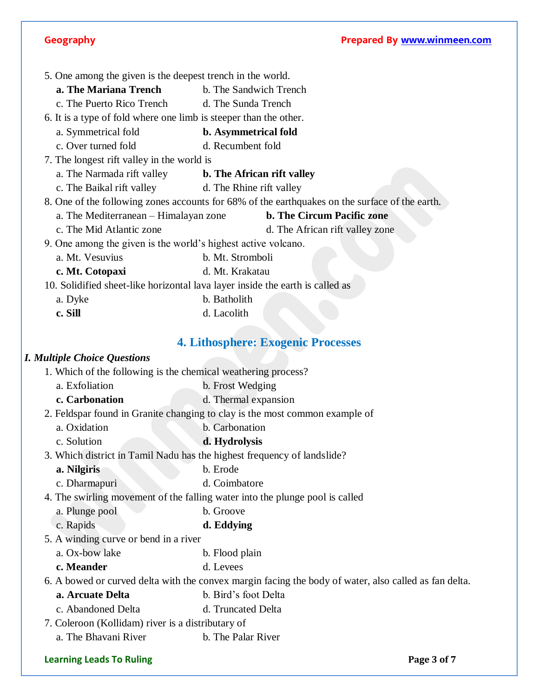5. One among the given is the deepest trench in the world.

- **a. The Mariana Trench** b. The Sandwich Trench
- c. The Puerto Rico Trench d. The Sunda Trench

6. It is a type of fold where one limb is steeper than the other.

- a. Symmetrical fold **b. Asymmetrical fold**
- c. Over turned fold d. Recumbent fold

7. The longest rift valley in the world is

- a. The Narmada rift valley **b. The African rift valley**
- c. The Baikal rift valley d. The Rhine rift valley
- 8. One of the following zones accounts for 68% of the earthquakes on the surface of the earth.
	- a. The Mediterranean Himalayan zone **b. The Circum Pacific zone**
	- c. The Mid Atlantic zone d. The African rift valley zone
- 9. One among the given is the world's highest active volcano.
- a. Mt. Vesuvius b. Mt. Stromboli
- **c. Mt. Cotopaxi** d. Mt. Krakatau

10. Solidified sheet-like horizontal lava layer inside the earth is called as

- a. Dyke b. Batholith
- **c. Sill** d. Lacolith

## **4. Lithosphere: Exogenic Processes**

### *I. Multiple Choice Questions*

| 1. Which of the following is the chemical weathering process? |                                                                                                       |
|---------------------------------------------------------------|-------------------------------------------------------------------------------------------------------|
| a. Exfoliation                                                | b. Frost Wedging                                                                                      |
| c. Carbonation                                                | d. Thermal expansion                                                                                  |
|                                                               | 2. Feldspar found in Granite changing to clay is the most common example of                           |
| a. Oxidation                                                  | b. Carbonation                                                                                        |
| c. Solution                                                   | d. Hydrolysis                                                                                         |
|                                                               | 3. Which district in Tamil Nadu has the highest frequency of landslide?                               |
| a. Nilgiris                                                   | b. Erode                                                                                              |
| c. Dharmapuri                                                 | d. Coimbatore                                                                                         |
|                                                               | 4. The swirling movement of the falling water into the plunge pool is called                          |
| a. Plunge pool                                                | b. Groove                                                                                             |
| c. Rapids                                                     | d. Eddying                                                                                            |
| 5. A winding curve or bend in a river                         |                                                                                                       |
| a. Ox-bow lake                                                | b. Flood plain                                                                                        |
| c. Meander                                                    | d. Levees                                                                                             |
|                                                               | 6. A bowed or curved delta with the convex margin facing the body of water, also called as fan delta. |
| a. Arcuate Delta                                              | b. Bird's foot Delta                                                                                  |
| c. Abandoned Delta                                            | d. Truncated Delta                                                                                    |
| 7. Coleroon (Kollidam) river is a distributary of             |                                                                                                       |
| a. The Bhavani River                                          | b. The Palar River                                                                                    |
| <b>Learning Leads To Ruling</b>                               | Page 3 of 7                                                                                           |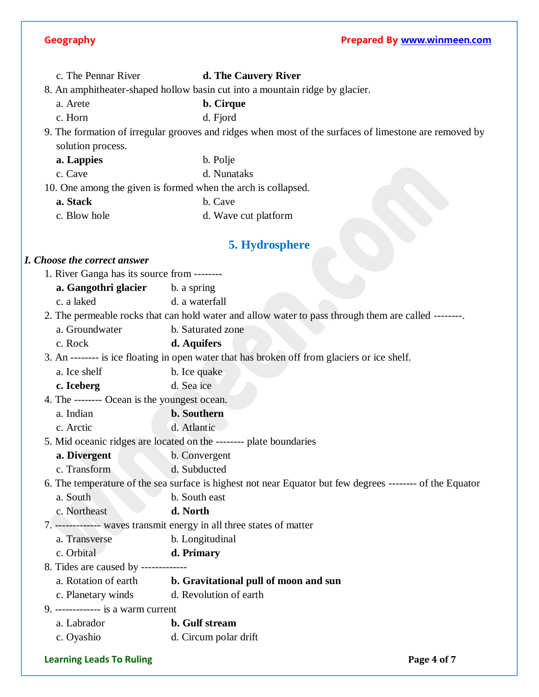c. The Pennar River **d. The Cauvery River**

8. An amphitheater-shaped hollow basin cut into a mountain ridge by glacier.

a. Arete **b. Cirque**

c. Horn d. Fjord

9. The formation of irregular grooves and ridges when most of the surfaces of limestone are removed by solution process.

**a. Lappies** b. Polje

c. Cave d. Nunataks

10. One among the given is formed when the arch is collapsed.

**a. Stack** b. Cave

c. Blow hole d. Wave cut platform

## **5. Hydrosphere**

### *I. Choose the correct answer*

|                                                                                              | I. Choose the correct answer                 |                                                                                                           |
|----------------------------------------------------------------------------------------------|----------------------------------------------|-----------------------------------------------------------------------------------------------------------|
|                                                                                              | 1. River Ganga has its source from --------  |                                                                                                           |
|                                                                                              | <b>a. Gangothri glacier</b> b. a spring      |                                                                                                           |
|                                                                                              | c. a laked                                   | d. a waterfall                                                                                            |
|                                                                                              |                                              | 2. The permeable rocks that can hold water and allow water to pass through them are called --------       |
|                                                                                              | a. Groundwater                               | b. Saturated zone                                                                                         |
|                                                                                              | c. Rock                                      | d. Aquifers                                                                                               |
| 3. An -------- is ice floating in open water that has broken off from glaciers or ice shelf. |                                              |                                                                                                           |
|                                                                                              | a. Ice shelf                                 | b. Ice quake                                                                                              |
|                                                                                              | c. Iceberg                                   | d. Sea ice                                                                                                |
|                                                                                              | 4. The -------- Ocean is the youngest ocean. |                                                                                                           |
|                                                                                              | a. Indian                                    | <b>b.</b> Southern                                                                                        |
|                                                                                              | c. Arctic                                    | d. Atlantic                                                                                               |
|                                                                                              |                                              | 5. Mid oceanic ridges are located on the -------- plate boundaries                                        |
|                                                                                              | a. Divergent                                 | b. Convergent                                                                                             |
|                                                                                              | c. Transform                                 | d. Subducted                                                                                              |
|                                                                                              |                                              | 6. The temperature of the sea surface is highest not near Equator but few degrees -------- of the Equator |
|                                                                                              | a. South                                     | b. South east                                                                                             |
|                                                                                              | c. Northeast                                 | d. North                                                                                                  |
|                                                                                              |                                              | 7. ------------- waves transmit energy in all three states of matter                                      |
|                                                                                              | a. Transverse                                | b. Longitudinal                                                                                           |
|                                                                                              | c. Orbital                                   | d. Primary                                                                                                |
|                                                                                              | 8. Tides are caused by -------------         |                                                                                                           |
|                                                                                              | a. Rotation of earth                         | b. Gravitational pull of moon and sun                                                                     |

- c. Planetary winds d. Revolution of earth
- 9. ------------- is a warm current
	- a. Labrador **b. Gulf stream**
	- c. Oyashio d. Circum polar drift

### **Learning Leads To Ruling Page 4 of 7**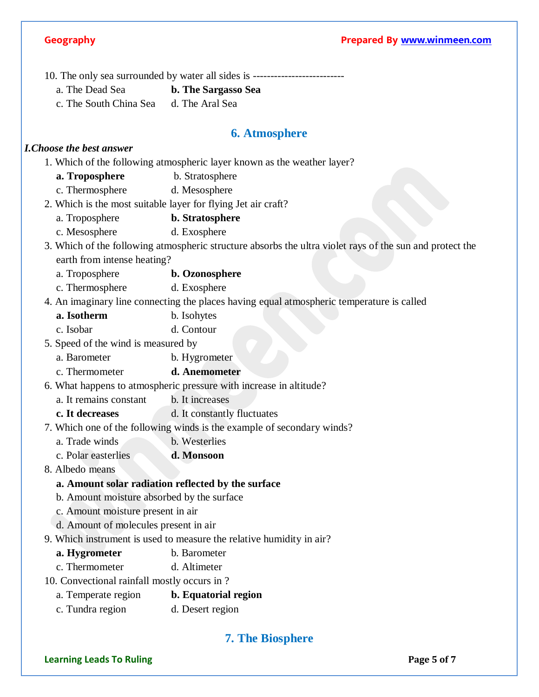- **Geography Prepared By [www.winmeen.com](http://www.winmeen.com/)** 10. The only sea surrounded by water all sides is ------------------------- a. The Dead Sea **b. The Sargasso Sea** c. The South China Sea d. The Aral Sea **6. Atmosphere** *I.Choose the best answer* 1. Which of the following atmospheric layer known as the weather layer? **a. Troposphere** b. Stratosphere c. Thermosphere d. Mesosphere 2. Which is the most suitable layer for flying Jet air craft? a. Troposphere **b. Stratosphere** c. Mesosphere d. Exosphere 3. Which of the following atmospheric structure absorbs the ultra violet rays of the sun and protect the earth from intense heating? a. Troposphere **b. Ozonosphere** c. Thermosphere d. Exosphere 4. An imaginary line connecting the places having equal atmospheric temperature is called **a. Isotherm** b. Isohytes c. Isobar d. Contour 5. Speed of the wind is measured by a. Barometer b. Hygrometer c. Thermometer **d. Anemometer** 6. What happens to atmospheric pressure with increase in altitude? a. It remains constant b. It increases **c. It decreases** d. It constantly fluctuates 7. Which one of the following winds is the example of secondary winds? a. Trade winds b. Westerlies c. Polar easterlies **d. Monsoon** 8. Albedo means **a. Amount solar radiation reflected by the surface** b. Amount moisture absorbed by the surface c. Amount moisture present in air d. Amount of molecules present in air 9. Which instrument is used to measure the relative humidity in air? **a. Hygrometer** b. Barometer
	- c. Thermometer d. Altimeter
	- 10. Convectional rainfall mostly occurs in ?
		- a. Temperate region **b. Equatorial region**
		- c. Tundra region d. Desert region

## **7. The Biosphere**

### **Learning Leads To Ruling Page 5** of 7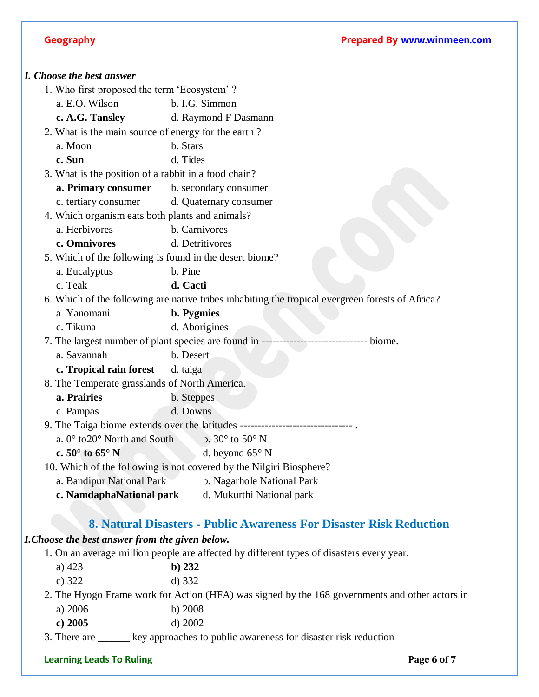|              | I. Choose the best answer                            |                                                                                                  |
|--------------|------------------------------------------------------|--------------------------------------------------------------------------------------------------|
|              | 1. Who first proposed the term 'Ecosystem'?          |                                                                                                  |
|              | a. E.O. Wilson                                       | b. I.G. Simmon                                                                                   |
|              | c. A.G. Tansley                                      | d. Raymond F Dasmann                                                                             |
|              | 2. What is the main source of energy for the earth?  |                                                                                                  |
|              | a. Moon                                              | b. Stars                                                                                         |
| c. Sun       |                                                      | d. Tides                                                                                         |
|              | 3. What is the position of a rabbit in a food chain? |                                                                                                  |
|              | a. Primary consumer                                  | b. secondary consumer                                                                            |
|              | c. tertiary consumer                                 | d. Quaternary consumer                                                                           |
|              | 4. Which organism eats both plants and animals?      |                                                                                                  |
|              | a. Herbivores                                        | b. Carnivores                                                                                    |
|              | c. Omnivores                                         | d. Detritivores                                                                                  |
|              |                                                      | 5. Which of the following is found in the desert biome?                                          |
|              | a. Eucalyptus                                        | b. Pine                                                                                          |
| c. Teak      |                                                      | d. Cacti                                                                                         |
|              |                                                      | 6. Which of the following are native tribes inhabiting the tropical evergreen forests of Africa? |
|              | a. Yanomani                                          | <b>b.</b> Pygmies                                                                                |
|              | c. Tikuna                                            | d. Aborigines                                                                                    |
|              |                                                      | 7. The largest number of plant species are found in -<br>biome.                                  |
|              | a. Savannah                                          | b. Desert                                                                                        |
|              | c. Tropical rain forest                              | d. taiga                                                                                         |
|              | 8. The Temperate grasslands of North America.        |                                                                                                  |
|              | a. Prairies                                          | b. Steppes                                                                                       |
|              | c. Pampas                                            | d. Downs                                                                                         |
|              |                                                      | 9. The Taiga biome extends over the latitudes --------------                                     |
|              | a. $0^{\circ}$ to $20^{\circ}$ North and South       | b. $30^{\circ}$ to $50^{\circ}$ N                                                                |
|              | c. $50^{\circ}$ to $65^{\circ}$ N                    | d. beyond $65^{\circ}$ N                                                                         |
|              |                                                      | 10. Which of the following is not covered by the Nilgiri Biosphere?                              |
|              | a. Bandipur National Park                            | b. Nagarhole National Park                                                                       |
|              | c. NamdaphaNational park                             | d. Mukurthi National park                                                                        |
|              |                                                      |                                                                                                  |
|              |                                                      | 8. Natural Disasters - Public Awareness For Disaster Risk Reduction                              |
|              | I. Choose the best answer from the given below.      |                                                                                                  |
|              |                                                      | 1. On an average million people are affected by different types of disasters every year.         |
| a) $423$     |                                                      | $b)$ 232                                                                                         |
| c) $322$     |                                                      | d) 332                                                                                           |
|              |                                                      | 2. The Hyogo Frame work for Action (HFA) was signed by the 168 governments and other actors in   |
|              | a) 2006                                              | b) $2008$                                                                                        |
|              | c) $2005$                                            | d) 2002                                                                                          |
| 3. There are |                                                      | key approaches to public awareness for disaster risk reduction                                   |

## **Learning Leads To Ruling**<br> **Example 26 To Ruling Page 6 of 7**